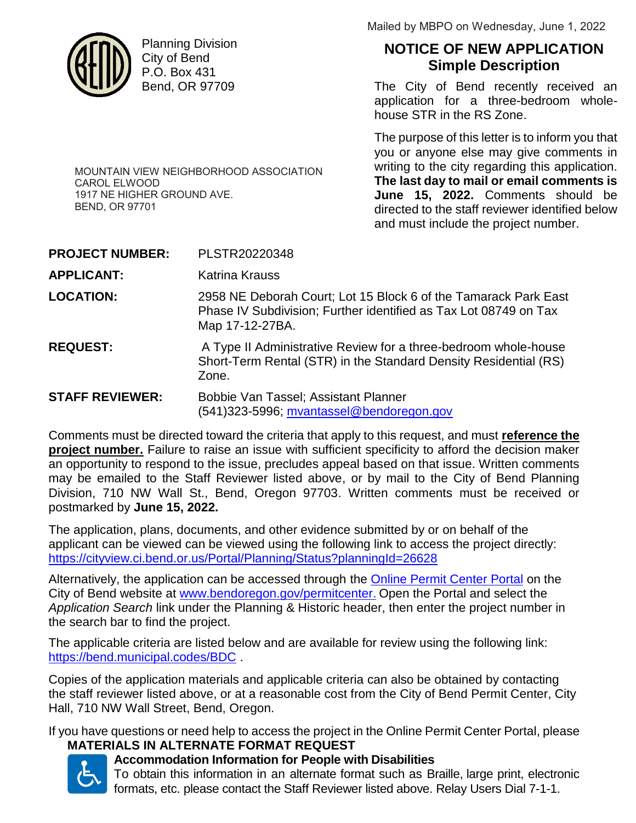

Planning Division City of Bend P.O. Box 431 Bend, OR 97709

Mailed by MBPO on Wednesday, June 1, 2022

# **NOTICE OF NEW APPLICATION Simple Description**

The City of Bend recently received an application for a three-bedroom wholehouse STR in the RS Zone.

The purpose of this letter is to inform you that you or anyone else may give comments in writing to the city regarding this application. **The last day to mail or email comments is June 15, 2022.** Comments should be directed to the staff reviewer identified below and must include the project number.

MOUNTAIN VIEW NEIGHBORHOOD ASSOCIATION CAROL ELWOOD 1917 NE HIGHER GROUND AVE. BEND, OR 97701

| <b>PROJECT NUMBER:</b> | PLSTR20220348                                                                                                                                          |
|------------------------|--------------------------------------------------------------------------------------------------------------------------------------------------------|
| APPLICANT:             | Katrina Krauss                                                                                                                                         |
| <b>LOCATION:</b>       | 2958 NE Deborah Court; Lot 15 Block 6 of the Tamarack Park East<br>Phase IV Subdivision; Further identified as Tax Lot 08749 on Tax<br>Map 17-12-27BA. |
| <b>REQUEST:</b>        | A Type II Administrative Review for a three-bedroom whole-house<br>Short-Term Rental (STR) in the Standard Density Residential (RS)<br>Zone.           |
| <b>STAFF REVIEWER:</b> | Bobbie Van Tassel; Assistant Planner<br>(541)323-5996; mvantassel@bendoregon.gov                                                                       |

Comments must be directed toward the criteria that apply to this request, and must **reference the project number.** Failure to raise an issue with sufficient specificity to afford the decision maker an opportunity to respond to the issue, precludes appeal based on that issue. Written comments may be emailed to the Staff Reviewer listed above, or by mail to the City of Bend Planning Division, 710 NW Wall St., Bend, Oregon 97703. Written comments must be received or postmarked by **June 15, 2022.**

The application, plans, documents, and other evidence submitted by or on behalf of the applicant can be viewed can be viewed using the following link to access the project directly: https://cityview.ci.bend.or.us/Portal/Planning/Status?planningId=26628

Alternatively, the application can be accessed through the Online Permit Center Portal on the City of Bend website at www.bendoregon.gov/permitcenter. Open the Portal and select the *Application Search* link under the Planning & Historic header, then enter the project number in the search bar to find the project.

The applicable criteria are listed below and are available for review using the following link: https://bend.municipal.codes/BDC .

Copies of the application materials and applicable criteria can also be obtained by contacting the staff reviewer listed above, or at a reasonable cost from the City of Bend Permit Center, City Hall, 710 NW Wall Street, Bend, Oregon.

If you have questions or need help to access the project in the Online Permit Center Portal, please

# **MATERIALS IN ALTERNATE FORMAT REQUEST**



# **Accommodation Information for People with Disabilities**

To obtain this information in an alternate format such as Braille, large print, electronic formats, etc. please contact the Staff Reviewer listed above. Relay Users Dial 7-1-1.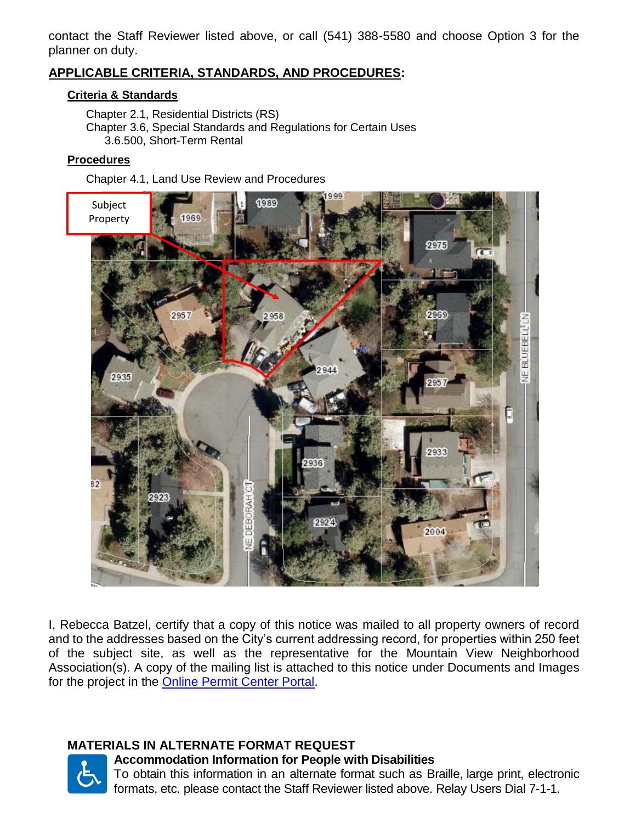contact the Staff Reviewer listed above, or call (541) 388-5580 and choose Option 3 for the planner on duty.

## **APPLICABLE CRITERIA, STANDARDS, AND PROCEDURES:**

#### **Criteria & Standards**

Chapter 2.1, Residential Districts (RS) Chapter 3.6, Special Standards and Regulations for Certain Uses 3.6.500, Short-Term Rental

#### **Procedures**

Chapter 4.1, Land Use Review and Procedures



I, Rebecca Batzel, certify that a copy of this notice was mailed to all property owners of record and to the addresses based on the City's current addressing record, for properties within 250 feet of the subject site, as well as the representative for the Mountain View Neighborhood Association(s). A copy of the mailing list is attached to this notice under Documents and Images for the project in the Online Permit Center Portal.

## **MATERIALS IN ALTERNATE FORMAT REQUEST**



**Accommodation Information for People with Disabilities** To obtain this information in an alternate format such as Braille, large print, electronic

formats, etc. please contact the Staff Reviewer listed above. Relay Users Dial 7-1-1.